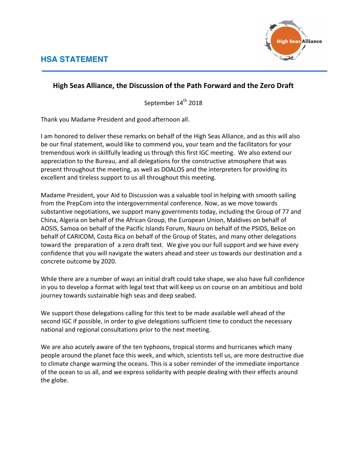

## **High Seas Alliance, the Discussion of the Path Forward and the Zero Draft**

September 14<sup>th</sup> 2018

Thank you Madame President and good afternoon all.

I am honored to deliver these remarks on behalf of the High Seas Alliance, and as this will also be our final statement, would like to commend you, your team and the facilitators for your tremendous work in skillfully leading us through this first IGC meeting. We also extend our appreciation to the Bureau, and all delegations for the constructive atmosphere that was present throughout the meeting, as well as DOALOS and the interpreters for providing its excellent and tireless support to us all throughout this meeting.

Madame President, your Aid to Discussion was a valuable tool in helping with smooth sailing from the PrepCom into the intergovernmental conference. Now, as we move towards substantive negotiations, we support many governments today, including the Group of 77 and China, Algeria on behalf of the African Group, the European Union, Maldives on behalf of AOSIS, Samoa on behalf of the Pacific Islands Forum, Nauru on behalf of the PSIDS, Belize on behalf of CARICOM, Costa Rica on behalf of the Group of States, and many other delegations toward the preparation of a zero draft text. We give you our full support and we have every confidence that you will navigate the waters ahead and steer us towards our destination and a concrete outcome by 2020.

While there are a number of ways an initial draft could take shape, we also have full confidence in you to develop a format with legal text that will keep us on course on an ambitious and bold journey towards sustainable high seas and deep seabed.

We support those delegations calling for this text to be made available well ahead of the second IGC if possible, in order to give delegations sufficient time to conduct the necessary national and regional consultations prior to the next meeting.

We are also acutely aware of the ten typhoons, tropical storms and hurricanes which many people around the planet face this week, and which, scientists tell us, are more destructive due to climate change warming the oceans. This is a sober reminder of the immediate importance of the ocean to us all, and we express solidarity with people dealing with their effects around the globe.